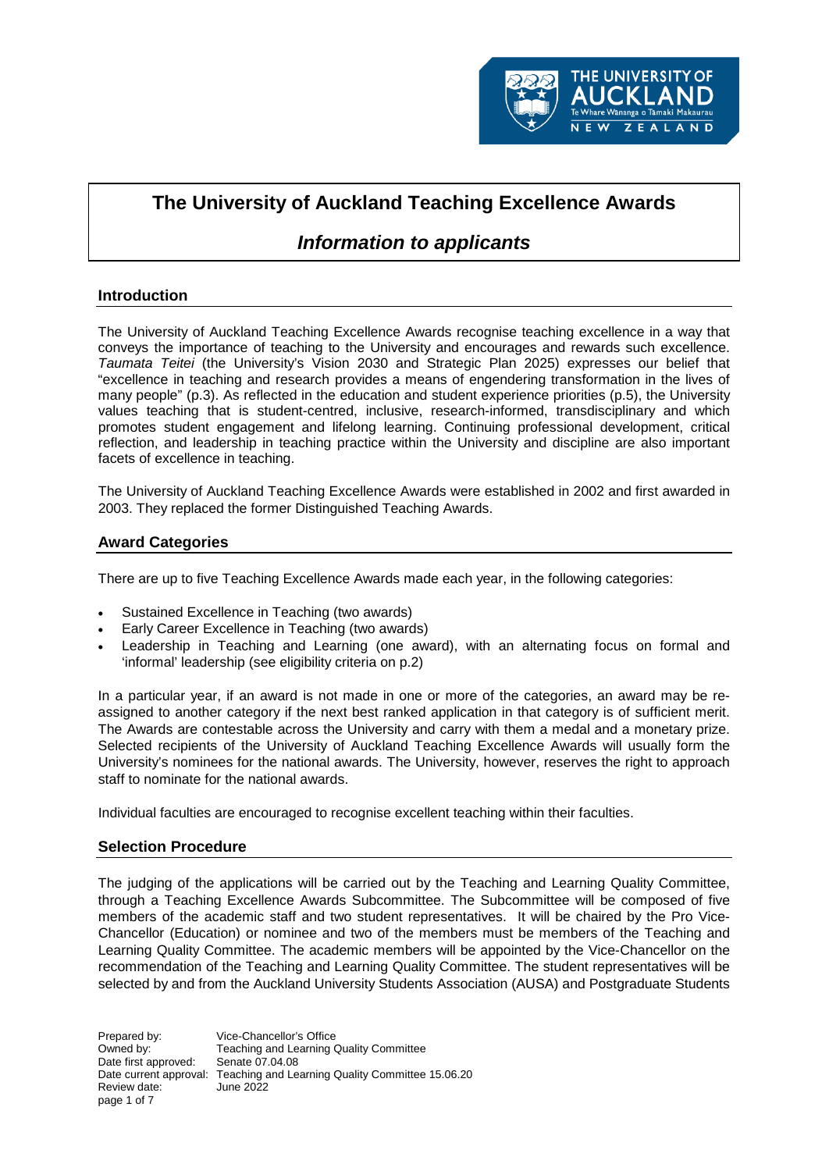

# **The University of Auckland Teaching Excellence Awards**

# *Information to applicants*

# **Introduction**

The University of Auckland Teaching Excellence Awards recognise teaching excellence in a way that conveys the importance of teaching to the University and encourages and rewards such excellence. *Taumata Teitei* (the University's Vision 2030 and Strategic Plan 2025) expresses our belief that "excellence in teaching and research provides a means of engendering transformation in the lives of many people" (p.3). As reflected in the education and student experience priorities (p.5), the University values teaching that is student-centred, inclusive, research-informed, transdisciplinary and which promotes student engagement and lifelong learning. Continuing professional development, critical reflection, and leadership in teaching practice within the University and discipline are also important facets of excellence in teaching.

The University of Auckland Teaching Excellence Awards were established in 2002 and first awarded in 2003. They replaced the former Distinguished Teaching Awards.

# **Award Categories**

There are up to five Teaching Excellence Awards made each year, in the following categories:

- Sustained Excellence in Teaching (two awards)
- Early Career Excellence in Teaching (two awards)
- Leadership in Teaching and Learning (one award), with an alternating focus on formal and 'informal' leadership (see eligibility criteria on p.2)

In a particular year, if an award is not made in one or more of the categories, an award may be reassigned to another category if the next best ranked application in that category is of sufficient merit. The Awards are contestable across the University and carry with them a medal and a monetary prize. Selected recipients of the University of Auckland Teaching Excellence Awards will usually form the University's nominees for the national awards. The University, however, reserves the right to approach staff to nominate for the national awards.

Individual faculties are encouraged to recognise excellent teaching within their faculties.

## **Selection Procedure**

The judging of the applications will be carried out by the Teaching and Learning Quality Committee, through a Teaching Excellence Awards Subcommittee. The Subcommittee will be composed of five members of the academic staff and two student representatives. It will be chaired by the Pro Vice-Chancellor (Education) or nominee and two of the members must be members of the Teaching and Learning Quality Committee. The academic members will be appointed by the Vice-Chancellor on the recommendation of the Teaching and Learning Quality Committee. The student representatives will be selected by and from the Auckland University Students Association (AUSA) and Postgraduate Students

Prepared by: Vice-Chancellor's Office Owned by: Teaching and Learning Quality Committee<br>Date first approved: Senate 07.04.08 Date first approved: Date current approval: Teaching and Learning Quality Committee 15.06.20 Review date: June 2022 page 1 of 7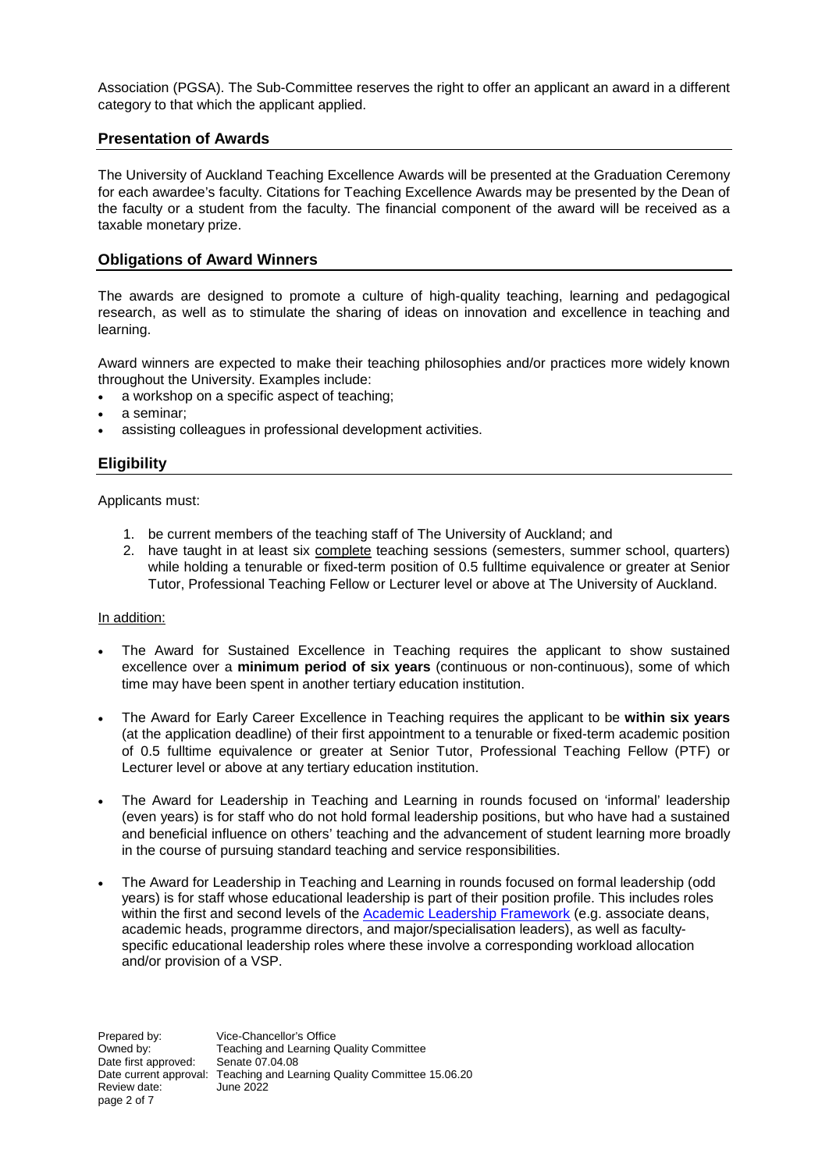Association (PGSA). The Sub-Committee reserves the right to offer an applicant an award in a different category to that which the applicant applied.

# **Presentation of Awards**

The University of Auckland Teaching Excellence Awards will be presented at the Graduation Ceremony for each awardee's faculty. Citations for Teaching Excellence Awards may be presented by the Dean of the faculty or a student from the faculty. The financial component of the award will be received as a taxable monetary prize.

# **Obligations of Award Winners**

The awards are designed to promote a culture of high-quality teaching, learning and pedagogical research, as well as to stimulate the sharing of ideas on innovation and excellence in teaching and learning.

Award winners are expected to make their teaching philosophies and/or practices more widely known throughout the University. Examples include:

- a workshop on a specific aspect of teaching;
- a seminar;
- assisting colleagues in professional development activities.

# **Eligibility**

Applicants must:

- 1. be current members of the teaching staff of The University of Auckland; and
- 2. have taught in at least six complete teaching sessions (semesters, summer school, quarters) while holding a tenurable or fixed-term position of 0.5 fulltime equivalence or greater at Senior Tutor, Professional Teaching Fellow or Lecturer level or above at The University of Auckland.

#### In addition:

- The Award for Sustained Excellence in Teaching requires the applicant to show sustained excellence over a **minimum period of six years** (continuous or non-continuous), some of which time may have been spent in another tertiary education institution.
- The Award for Early Career Excellence in Teaching requires the applicant to be **within six years** (at the application deadline) of their first appointment to a tenurable or fixed-term academic position of 0.5 fulltime equivalence or greater at Senior Tutor, Professional Teaching Fellow (PTF) or Lecturer level or above at any tertiary education institution.
- The Award for Leadership in Teaching and Learning in rounds focused on 'informal' leadership (even years) is for staff who do not hold formal leadership positions, but who have had a sustained and beneficial influence on others' teaching and the advancement of student learning more broadly in the course of pursuing standard teaching and service responsibilities.
- The Award for Leadership in Teaching and Learning in rounds focused on formal leadership (odd years) is for staff whose educational leadership is part of their position profile. This includes roles within the first and second levels of the [Academic Leadership Framework](https://www.staff.auckland.ac.nz/en/academic-leadership.html) (e.g. associate deans, academic heads, programme directors, and major/specialisation leaders), as well as facultyspecific educational leadership roles where these involve a corresponding workload allocation and/or provision of a VSP.

Prepared by: Vice-Chancellor's Office Owned by: Teaching and Learning Quality Committee<br>Date first approved: Senate 07.04.08 Date first approved: Date current approval: Teaching and Learning Quality Committee 15.06.20 Review date: June 2022 page 2 of 7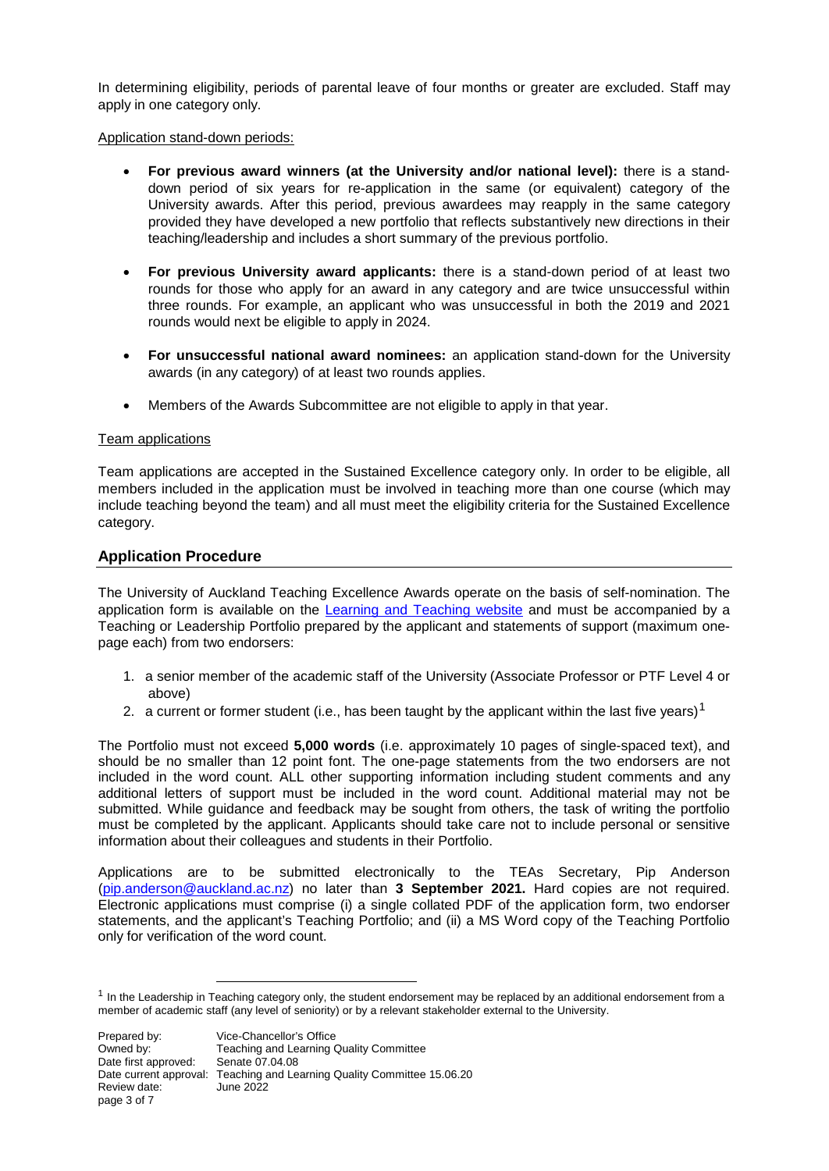In determining eligibility, periods of parental leave of four months or greater are excluded. Staff may apply in one category only.

#### Application stand-down periods:

- **For previous award winners (at the University and/or national level):** there is a standdown period of six years for re-application in the same (or equivalent) category of the University awards. After this period, previous awardees may reapply in the same category provided they have developed a new portfolio that reflects substantively new directions in their teaching/leadership and includes a short summary of the previous portfolio.
- **For previous University award applicants:** there is a stand-down period of at least two rounds for those who apply for an award in any category and are twice unsuccessful within three rounds. For example, an applicant who was unsuccessful in both the 2019 and 2021 rounds would next be eligible to apply in 2024.
- **For unsuccessful national award nominees:** an application stand-down for the University awards (in any category) of at least two rounds applies.
- Members of the Awards Subcommittee are not eligible to apply in that year.

#### Team applications

Team applications are accepted in the Sustained Excellence category only. In order to be eligible, all members included in the application must be involved in teaching more than one course (which may include teaching beyond the team) and all must meet the eligibility criteria for the Sustained Excellence category.

## **Application Procedure**

The University of Auckland Teaching Excellence Awards operate on the basis of self-nomination. The application form is available on the [Learning and Teaching website](https://www.auckland.ac.nz/en/about/learning-and-teaching/grants-and-awards/university-of-auckland-teaching-excellence-awards.html) and must be accompanied by a Teaching or Leadership Portfolio prepared by the applicant and statements of support (maximum onepage each) from two endorsers:

- 1. a senior member of the academic staff of the University (Associate Professor or PTF Level 4 or above)
- 2. a current or former student (i.e., has been taught by the applicant within the last five years)<sup>[1](#page-2-0)</sup>

The Portfolio must not exceed **5,000 words** (i.e. approximately 10 pages of single-spaced text), and should be no smaller than 12 point font. The one-page statements from the two endorsers are not included in the word count. ALL other supporting information including student comments and any additional letters of support must be included in the word count. Additional material may not be submitted. While guidance and feedback may be sought from others, the task of writing the portfolio must be completed by the applicant. Applicants should take care not to include personal or sensitive information about their colleagues and students in their Portfolio.

Applications are to be submitted electronically to the TEAs Secretary, Pip Anderson [\(pip.anderson@auckland.ac.nz\)](mailto:pip.anderson@auckland.ac.nz) no later than **3 September 2021.** Hard copies are not required. Electronic applications must comprise (i) a single collated PDF of the application form, two endorser statements, and the applicant's Teaching Portfolio; and (ii) a MS Word copy of the Teaching Portfolio only for verification of the word count.

<span id="page-2-0"></span> $<sup>1</sup>$  In the Leadership in Teaching category only, the student endorsement may be replaced by an additional endorsement from a</sup> member of academic staff (any level of seniority) or by a relevant stakeholder external to the University.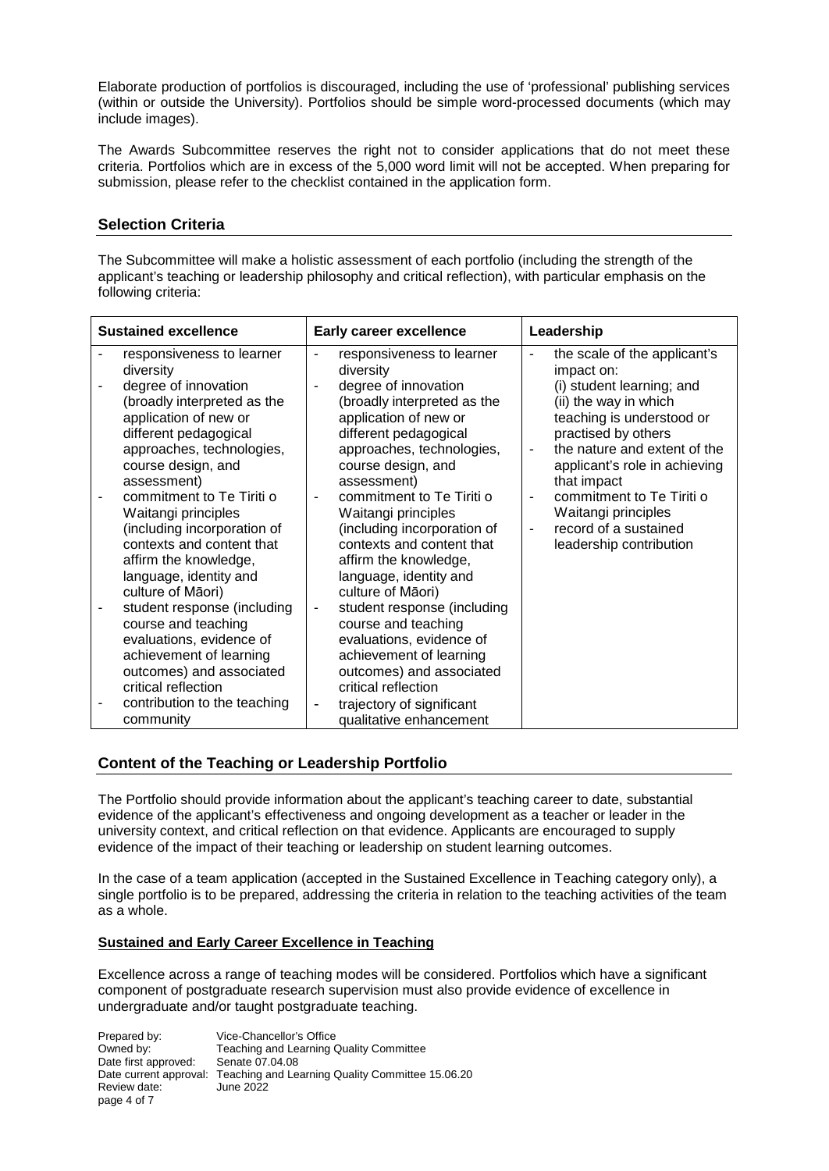Elaborate production of portfolios is discouraged, including the use of 'professional' publishing services (within or outside the University). Portfolios should be simple word-processed documents (which may include images).

The Awards Subcommittee reserves the right not to consider applications that do not meet these criteria. Portfolios which are in excess of the 5,000 word limit will not be accepted. When preparing for submission, please refer to the checklist contained in the application form.

# **Selection Criteria**

The Subcommittee will make a holistic assessment of each portfolio (including the strength of the applicant's teaching or leadership philosophy and critical reflection), with particular emphasis on the following criteria:

| <b>Sustained excellence</b>                                                                                                                                                                               | <b>Early career excellence</b>                                                                                                                                                                                                                             | Leadership                                                                                                                                                                                                                              |
|-----------------------------------------------------------------------------------------------------------------------------------------------------------------------------------------------------------|------------------------------------------------------------------------------------------------------------------------------------------------------------------------------------------------------------------------------------------------------------|-----------------------------------------------------------------------------------------------------------------------------------------------------------------------------------------------------------------------------------------|
| responsiveness to learner<br>diversity<br>degree of innovation<br>(broadly interpreted as the<br>application of new or<br>different pedagogical<br>approaches, technologies,<br>course design, and        | responsiveness to learner<br>$\overline{\phantom{a}}$<br>diversity<br>degree of innovation<br>$\overline{\phantom{a}}$<br>(broadly interpreted as the<br>application of new or<br>different pedagogical<br>approaches, technologies,<br>course design, and | the scale of the applicant's<br>$\blacksquare$<br>impact on:<br>(i) student learning; and<br>(ii) the way in which<br>teaching is understood or<br>practised by others<br>the nature and extent of the<br>applicant's role in achieving |
| assessment)<br>commitment to Te Tiriti o<br>Waitangi principles<br>(including incorporation of<br>contexts and content that<br>affirm the knowledge,<br>language, identity and<br>culture of Māori)       | assessment)<br>commitment to Te Tiriti o<br>Waitangi principles<br>(including incorporation of<br>contexts and content that<br>affirm the knowledge,<br>language, identity and<br>culture of Māori)                                                        | that impact<br>commitment to Te Tiriti o<br>Waitangi principles<br>record of a sustained<br>$\blacksquare$<br>leadership contribution                                                                                                   |
| student response (including<br>course and teaching<br>evaluations, evidence of<br>achievement of learning<br>outcomes) and associated<br>critical reflection<br>contribution to the teaching<br>community | student response (including<br>$\overline{\phantom{a}}$<br>course and teaching<br>evaluations, evidence of<br>achievement of learning<br>outcomes) and associated<br>critical reflection<br>trajectory of significant<br>-<br>qualitative enhancement      |                                                                                                                                                                                                                                         |

# **Content of the Teaching or Leadership Portfolio**

The Portfolio should provide information about the applicant's teaching career to date, substantial evidence of the applicant's effectiveness and ongoing development as a teacher or leader in the university context, and critical reflection on that evidence. Applicants are encouraged to supply evidence of the impact of their teaching or leadership on student learning outcomes.

In the case of a team application (accepted in the Sustained Excellence in Teaching category only), a single portfolio is to be prepared, addressing the criteria in relation to the teaching activities of the team as a whole.

#### **Sustained and Early Career Excellence in Teaching**

Excellence across a range of teaching modes will be considered. Portfolios which have a significant component of postgraduate research supervision must also provide evidence of excellence in undergraduate and/or taught postgraduate teaching.

Prepared by: Vice-Chancellor's Office Owned by: Teaching and Learning Quality Committee<br>
Date first approved: Senate 07.04.08 Date first approved: Date current approval: Teaching and Learning Quality Committee 15.06.20 Review date: June 2022 page 4 of 7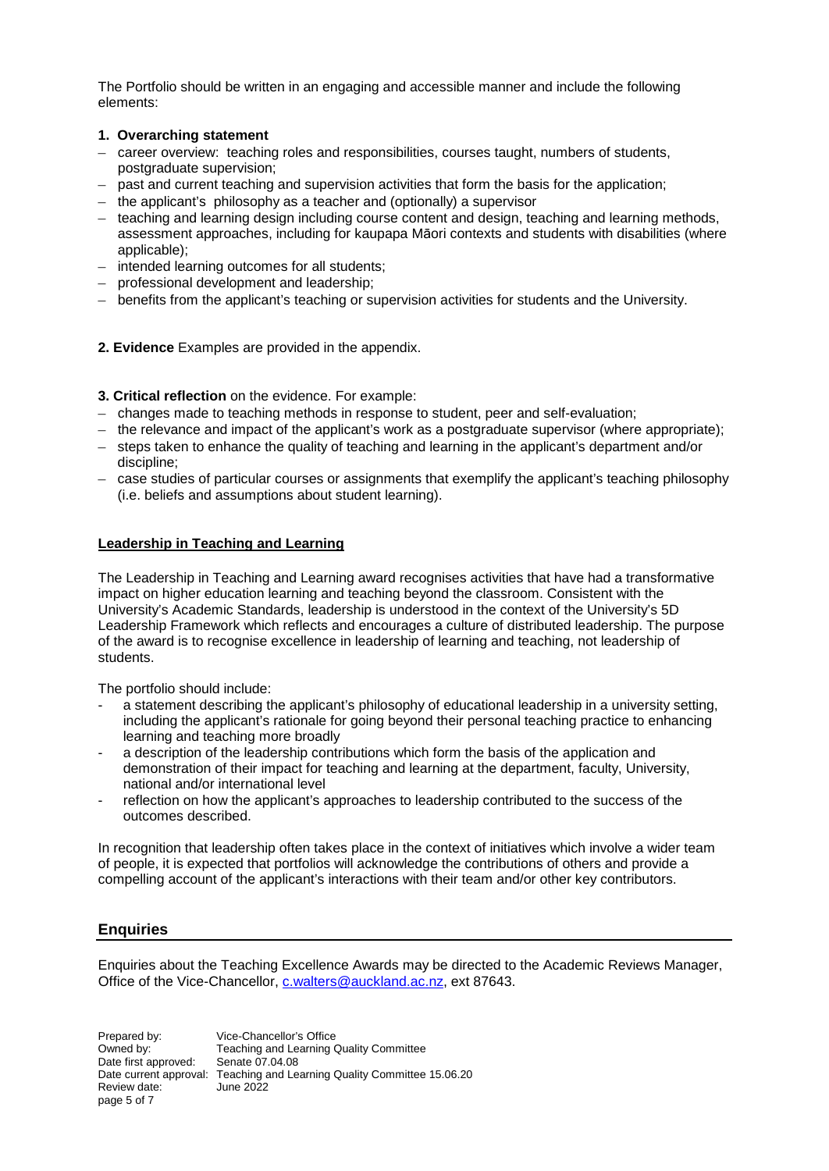The Portfolio should be written in an engaging and accessible manner and include the following elements:

## **1. Overarching statement**

- career overview: teaching roles and responsibilities, courses taught, numbers of students, postgraduate supervision;
- past and current teaching and supervision activities that form the basis for the application;
- the applicant's philosophy as a teacher and (optionally) a supervisor
- teaching and learning design including course content and design, teaching and learning methods, assessment approaches, including for kaupapa Māori contexts and students with disabilities (where applicable);
- intended learning outcomes for all students;
- professional development and leadership;
- benefits from the applicant's teaching or supervision activities for students and the University.
- **2. Evidence** Examples are provided in the appendix.
- **3. Critical reflection** on the evidence. For example:
- changes made to teaching methods in response to student, peer and self-evaluation;
- the relevance and impact of the applicant's work as a postgraduate supervisor (where appropriate);
- steps taken to enhance the quality of teaching and learning in the applicant's department and/or discipline;
- case studies of particular courses or assignments that exemplify the applicant's teaching philosophy (i.e. beliefs and assumptions about student learning).

# **Leadership in Teaching and Learning**

The Leadership in Teaching and Learning award recognises activities that have had a transformative impact on higher education learning and teaching beyond the classroom. Consistent with the University's Academic Standards, leadership is understood in the context of the University's 5D Leadership Framework which reflects and encourages a culture of distributed leadership. The purpose of the award is to recognise excellence in leadership of learning and teaching, not leadership of students.

The portfolio should include:

- a statement describing the applicant's philosophy of educational leadership in a university setting, including the applicant's rationale for going beyond their personal teaching practice to enhancing learning and teaching more broadly
- a description of the leadership contributions which form the basis of the application and demonstration of their impact for teaching and learning at the department, faculty, University, national and/or international level
- reflection on how the applicant's approaches to leadership contributed to the success of the outcomes described.

In recognition that leadership often takes place in the context of initiatives which involve a wider team of people, it is expected that portfolios will acknowledge the contributions of others and provide a compelling account of the applicant's interactions with their team and/or other key contributors.

# **Enquiries**

Enquiries about the Teaching Excellence Awards may be directed to the Academic Reviews Manager, Office of the Vice-Chancellor, [c.walters@auckland.ac.nz,](mailto:c.walters@auckland.ac.nz) ext 87643.

Prepared by: Vice-Chancellor's Office Owned by: Teaching and Learning Quality Committee<br>Date first approved: Senate 07.04.08 Date first approved: Date current approval: Teaching and Learning Quality Committee 15.06.20 Review date: June 2022 page 5 of 7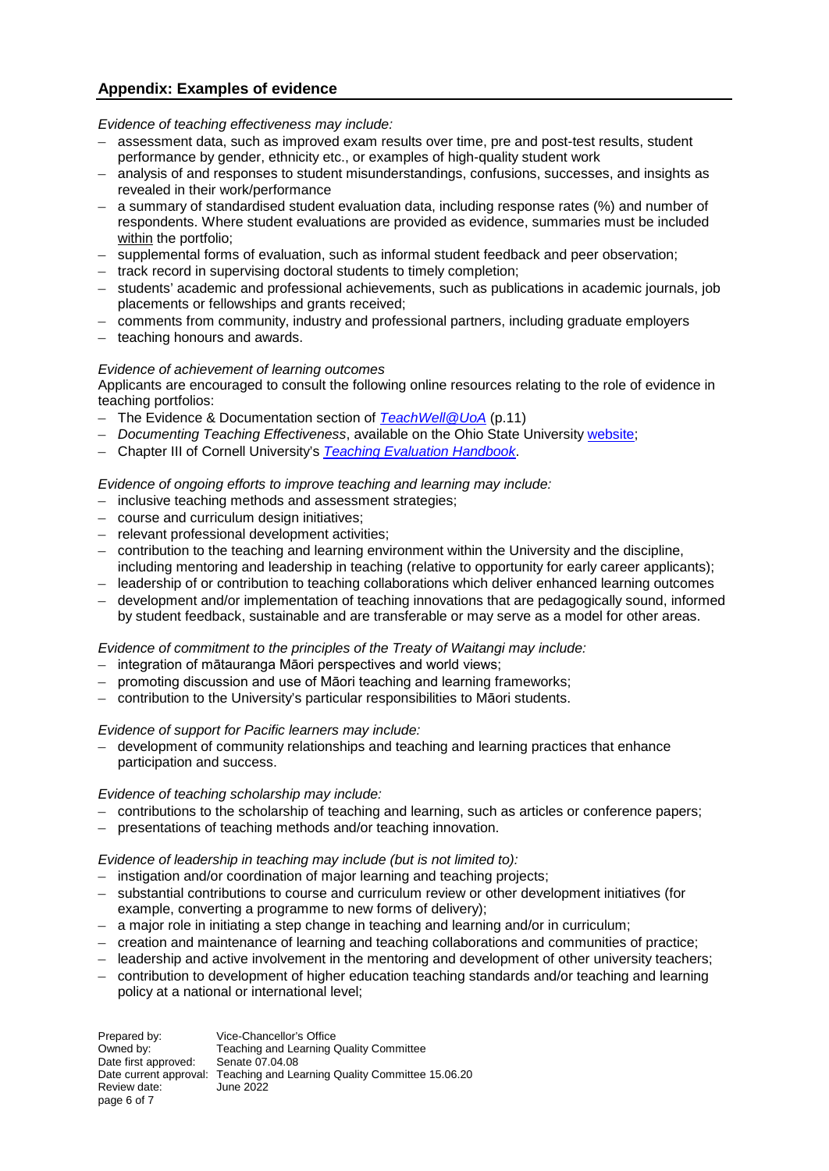# **Appendix: Examples of evidence**

#### *Evidence of teaching effectiveness may include:*

- assessment data, such as improved exam results over time, pre and post-test results, student performance by gender, ethnicity etc., or examples of high-quality student work
- analysis of and responses to student misunderstandings, confusions, successes, and insights as revealed in their work/performance
- a summary of standardised student evaluation data, including response rates (%) and number of respondents. Where student evaluations are provided as evidence, summaries must be included within the portfolio;
- supplemental forms of evaluation, such as informal student feedback and peer observation;
- track record in supervising doctoral students to timely completion;
- students' academic and professional achievements, such as publications in academic journals, job placements or fellowships and grants received;
- comments from community, industry and professional partners, including graduate employers
- teaching honours and awards.

## *Evidence of achievement of learning outcomes*

Applicants are encouraged to consult the following online resources relating to the role of evidence in teaching portfolios:

- The Evidence & Documentation section of *[TeachWell@UoA](https://cdn.auckland.ac.nz/assets/auckland/staff/learning-teaching/teaching-course-development/TeachWell-%20Final-2020.pdf)* (p.11)
- *Documenting Teaching Effectiveness*, available on the Ohio State University [website;](https://ucat.osu.edu/professional-development/teaching-portfolio/feedback/)
- Chapter III of Cornell University's *[Teaching Evaluation Handbook](https://www.ucy.ac.cy/ctl/documents/KEDIMA/WebsiteMaterial/CornellTeaching_Evaluation_Handbook.pdf)*.

#### *Evidence of ongoing efforts to improve teaching and learning may include:*

- inclusive teaching methods and assessment strategies;
- course and curriculum design initiatives;
- relevant professional development activities;
- contribution to the teaching and learning environment within the University and the discipline, including mentoring and leadership in teaching (relative to opportunity for early career applicants);
- leadership of or contribution to teaching collaborations which deliver enhanced learning outcomes
- development and/or implementation of teaching innovations that are pedagogically sound, informed by student feedback, sustainable and are transferable or may serve as a model for other areas.

#### *Evidence of commitment to the principles of the Treaty of Waitangi may include:*

- integration of mātauranga Māori perspectives and world views;
- promoting discussion and use of Māori teaching and learning frameworks;
- contribution to the University's particular responsibilities to Māori students.

#### *Evidence of support for Pacific learners may include:*

– development of community relationships and teaching and learning practices that enhance participation and success.

#### *Evidence of teaching scholarship may include:*

- contributions to the scholarship of teaching and learning, such as articles or conference papers;
- presentations of teaching methods and/or teaching innovation.

#### *Evidence of leadership in teaching may include (but is not limited to):*

- instigation and/or coordination of major learning and teaching projects;
- substantial contributions to course and curriculum review or other development initiatives (for example, converting a programme to new forms of delivery);
- a major role in initiating a step change in teaching and learning and/or in curriculum;
- creation and maintenance of learning and teaching collaborations and communities of practice;
- leadership and active involvement in the mentoring and development of other university teachers;
- contribution to development of higher education teaching standards and/or teaching and learning policy at a national or international level;

Prepared by: Vice-Chancellor's Office Owned by: Teaching and Learning Quality Committee<br>Date first approved: Senate 07.04.08 Date first approved: Date current approval: Teaching and Learning Quality Committee 15.06.20 Review date: June 2022 page 6 of 7